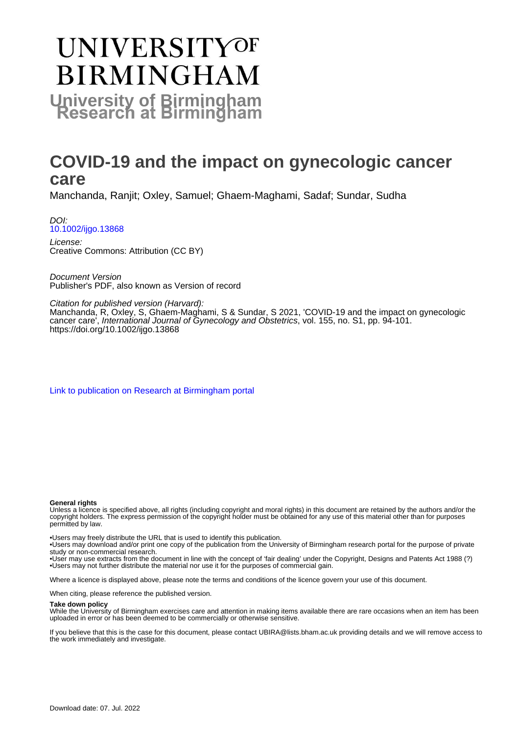# **UNIVERSITYOF BIRMINGHAM University of Birmingham**

# **COVID-19 and the impact on gynecologic cancer care**

Manchanda, Ranjit; Oxley, Samuel; Ghaem-Maghami, Sadaf; Sundar, Sudha

DOI: [10.1002/ijgo.13868](https://doi.org/10.1002/ijgo.13868)

License: Creative Commons: Attribution (CC BY)

Document Version Publisher's PDF, also known as Version of record

Citation for published version (Harvard):

Manchanda, R, Oxley, S, Ghaem-Maghami, S & Sundar, S 2021, 'COVID-19 and the impact on gynecologic cancer care', International Journal of Gynecology and Obstetrics, vol. 155, no. S1, pp. 94-101. <https://doi.org/10.1002/ijgo.13868>

[Link to publication on Research at Birmingham portal](https://birmingham.elsevierpure.com/en/publications/391aa863-9f66-4233-ba0d-2d8cabda94d9)

#### **General rights**

Unless a licence is specified above, all rights (including copyright and moral rights) in this document are retained by the authors and/or the copyright holders. The express permission of the copyright holder must be obtained for any use of this material other than for purposes permitted by law.

• Users may freely distribute the URL that is used to identify this publication.

• Users may download and/or print one copy of the publication from the University of Birmingham research portal for the purpose of private study or non-commercial research.

• User may use extracts from the document in line with the concept of 'fair dealing' under the Copyright, Designs and Patents Act 1988 (?) • Users may not further distribute the material nor use it for the purposes of commercial gain.

Where a licence is displayed above, please note the terms and conditions of the licence govern your use of this document.

When citing, please reference the published version.

#### **Take down policy**

While the University of Birmingham exercises care and attention in making items available there are rare occasions when an item has been uploaded in error or has been deemed to be commercially or otherwise sensitive.

If you believe that this is the case for this document, please contact UBIRA@lists.bham.ac.uk providing details and we will remove access to the work immediately and investigate.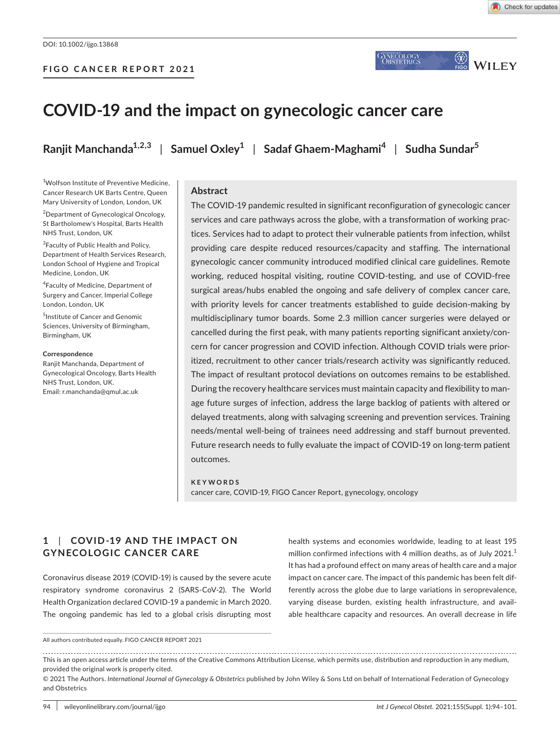

 $\circled{x}$ 

WILEY

7NECOLOGY<br>Obstetrics

# **COVID-19 and the impact on gynecologic cancer care**

**Ranjit Manchanda1,2,3** | **Samuel Oxley<sup>1</sup>** | **Sadaf Ghaem-Maghami<sup>4</sup>** | **Sudha Sundar<sup>5</sup>**

#### 1 Wolfson Institute of Preventive Medicine, Cancer Research UK Barts Centre, Queen Mary University of London, London, UK

2 Department of Gynecological Oncology, St Bartholomew's Hospital, Barts Health NHS Trust, London, UK

<sup>3</sup> Faculty of Public Health and Policy, Department of Health Services Research, London School of Hygiene and Tropical Medicine, London, UK

4 Faculty of Medicine, Department of Surgery and Cancer, Imperial College London, London, UK

5 Institute of Cancer and Genomic Sciences, University of Birmingham, Birmingham, UK

#### **Correspondence**

Ranjit Manchanda, Department of Gynecological Oncology, Barts Health NHS Trust, London, UK. Email: [r.manchanda@qmul.ac.uk](mailto:r.manchanda@qmul.ac.uk)

#### **Abstract**

The COVID-19 pandemic resulted in significant reconfiguration of gynecologic cancer services and care pathways across the globe, with a transformation of working practices. Services had to adapt to protect their vulnerable patients from infection, whilst providing care despite reduced resources/capacity and staffing. The international gynecologic cancer community introduced modified clinical care guidelines. Remote working, reduced hospital visiting, routine COVID-testing, and use of COVID-free surgical areas/hubs enabled the ongoing and safe delivery of complex cancer care, with priority levels for cancer treatments established to guide decision-making by multidisciplinary tumor boards. Some 2.3 million cancer surgeries were delayed or cancelled during the first peak, with many patients reporting significant anxiety/concern for cancer progression and COVID infection. Although COVID trials were prioritized, recruitment to other cancer trials/research activity was significantly reduced. The impact of resultant protocol deviations on outcomes remains to be established. During the recovery healthcare services must maintain capacity and flexibility to manage future surges of infection, address the large backlog of patients with altered or delayed treatments, along with salvaging screening and prevention services. Training needs/mental well-being of trainees need addressing and staff burnout prevented. Future research needs to fully evaluate the impact of COVID-19 on long-term patient outcomes.

## **KEYWORDS** cancer care, COVID-19, FIGO Cancer Report, gynecology, oncology

# **1**  | **COVID -19 AND THE IMPACT ON GYNECOLOGIC CANCER CARE**

Coronavirus disease 2019 (COVID-19) is caused by the severe acute respiratory syndrome coronavirus 2 (SARS-CoV-2). The World Health Organization declared COVID-19 a pandemic in March 2020. The ongoing pandemic has led to a global crisis disrupting most health systems and economies worldwide, leading to at least 195 million confirmed infections with 4 million deaths, as of July 2021. $<sup>1</sup>$ </sup> It has had a profound effect on many areas of health care and a major impact on cancer care. The impact of this pandemic has been felt differently across the globe due to large variations in seroprevalence, varying disease burden, existing health infrastructure, and available healthcare capacity and resources. An overall decrease in life

All authors contributed equally. FIGO CANCER REPORT 2021

This is an open access article under the terms of the [Creative Commons Attribution](http://creativecommons.org/licenses/by/4.0/) License, which permits use, distribution and reproduction in any medium, provided the original work is properly cited.

<sup>© 2021</sup> The Authors. *International Journal of Gynecology & Obstetrics* published by John Wiley & Sons Ltd on behalf of International Federation of Gynecology and Obstetrics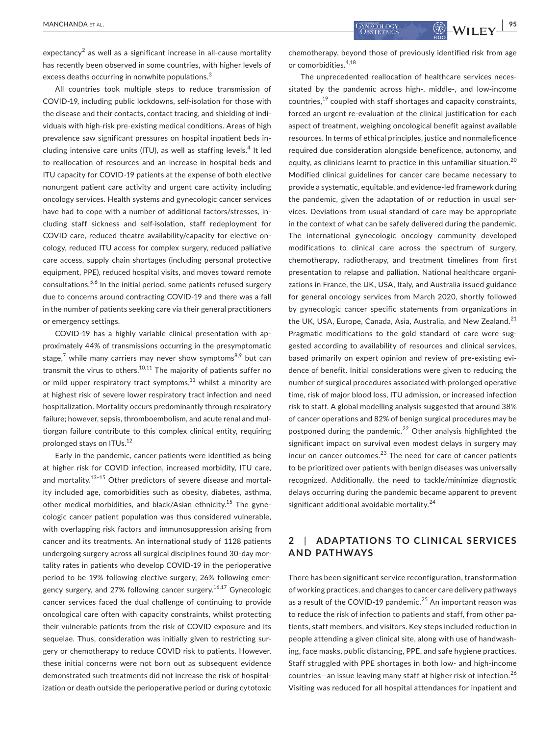expectancy $2$  as well as a significant increase in all-cause mortality has recently been observed in some countries, with higher levels of excess deaths occurring in nonwhite populations.<sup>3</sup>

All countries took multiple steps to reduce transmission of COVID-19, including public lockdowns, self-isolation for those with the disease and their contacts, contact tracing, and shielding of individuals with high-risk pre-existing medical conditions. Areas of high prevalence saw significant pressures on hospital inpatient beds including intensive care units (ITU), as well as staffing levels.<sup>4</sup> It led to reallocation of resources and an increase in hospital beds and ITU capacity for COVID-19 patients at the expense of both elective nonurgent patient care activity and urgent care activity including oncology services. Health systems and gynecologic cancer services have had to cope with a number of additional factors/stresses, including staff sickness and self-isolation, staff redeployment for COVID care, reduced theatre availability/capacity for elective oncology, reduced ITU access for complex surgery, reduced palliative care access, supply chain shortages (including personal protective equipment, PPE), reduced hospital visits, and moves toward remote consultations.<sup>5,6</sup> In the initial period, some patients refused surgery due to concerns around contracting COVID-19 and there was a fall in the number of patients seeking care via their general practitioners or emergency settings.

COVID-19 has a highly variable clinical presentation with approximately 44% of transmissions occurring in the presymptomatic stage,<sup>7</sup> while many carriers may never show symptoms<sup>8,9</sup> but can transmit the virus to others.<sup>10,11</sup> The majority of patients suffer no or mild upper respiratory tract symptoms, $11$  whilst a minority are at highest risk of severe lower respiratory tract infection and need hospitalization. Mortality occurs predominantly through respiratory failure; however, sepsis, thromboembolism, and acute renal and multiorgan failure contribute to this complex clinical entity, requiring prolonged stays on ITUs.<sup>12</sup>

Early in the pandemic, cancer patients were identified as being at higher risk for COVID infection, increased morbidity, ITU care, and mortality.<sup>13-15</sup> Other predictors of severe disease and mortality included age, comorbidities such as obesity, diabetes, asthma, other medical morbidities, and black/Asian ethnicity.<sup>15</sup> The gynecologic cancer patient population was thus considered vulnerable, with overlapping risk factors and immunosuppression arising from cancer and its treatments. An international study of 1128 patients undergoing surgery across all surgical disciplines found 30-day mortality rates in patients who develop COVID-19 in the perioperative period to be 19% following elective surgery, 26% following emergency surgery, and 27% following cancer surgery.<sup>16,17</sup> Gynecologic cancer services faced the dual challenge of continuing to provide oncological care often with capacity constraints, whilst protecting their vulnerable patients from the risk of COVID exposure and its sequelae. Thus, consideration was initially given to restricting surgery or chemotherapy to reduce COVID risk to patients. However, these initial concerns were not born out as subsequent evidence demonstrated such treatments did not increase the risk of hospitalization or death outside the perioperative period or during cytotoxic

chemotherapy, beyond those of previously identified risk from age or comorbidities.4,18

The unprecedented reallocation of healthcare services necessitated by the pandemic across high-, middle-, and low-income countries, $^{19}$  coupled with staff shortages and capacity constraints, forced an urgent re-evaluation of the clinical justification for each aspect of treatment, weighing oncological benefit against available resources. In terms of ethical principles, justice and nonmaleficence required due consideration alongside beneficence, autonomy, and equity, as clinicians learnt to practice in this unfamiliar situation.<sup>20</sup> Modified clinical guidelines for cancer care became necessary to provide a systematic, equitable, and evidence-led framework during the pandemic, given the adaptation of or reduction in usual services. Deviations from usual standard of care may be appropriate in the context of what can be safely delivered during the pandemic. The international gynecologic oncology community developed modifications to clinical care across the spectrum of surgery, chemotherapy, radiotherapy, and treatment timelines from first presentation to relapse and palliation. National healthcare organizations in France, the UK, USA, Italy, and Australia issued guidance for general oncology services from March 2020, shortly followed by gynecologic cancer specific statements from organizations in the UK, USA, Europe, Canada, Asia, Australia, and New Zealand.<sup>21</sup> Pragmatic modifications to the gold standard of care were suggested according to availability of resources and clinical services, based primarily on expert opinion and review of pre-existing evidence of benefit. Initial considerations were given to reducing the number of surgical procedures associated with prolonged operative time, risk of major blood loss, ITU admission, or increased infection risk to staff. A global modelling analysis suggested that around 38% of cancer operations and 82% of benign surgical procedures may be postponed during the pandemic.<sup>22</sup> Other analysis highlighted the significant impact on survival even modest delays in surgery may incur on cancer outcomes. $^{23}$  The need for care of cancer patients to be prioritized over patients with benign diseases was universally recognized. Additionally, the need to tackle/minimize diagnostic delays occurring during the pandemic became apparent to prevent significant additional avoidable mortality.<sup>24</sup>

# **2**  | **ADAPTATIONS TO CLINICAL SERVICES AND PATHWAYS**

There has been significant service reconfiguration, transformation of working practices, and changes to cancer care delivery pathways as a result of the COVID-19 pandemic.<sup>25</sup> An important reason was to reduce the risk of infection to patients and staff, from other patients, staff members, and visitors. Key steps included reduction in people attending a given clinical site, along with use of handwashing, face masks, public distancing, PPE, and safe hygiene practices. Staff struggled with PPE shortages in both low- and high-income countries—an issue leaving many staff at higher risk of infection.<sup>26</sup> Visiting was reduced for all hospital attendances for inpatient and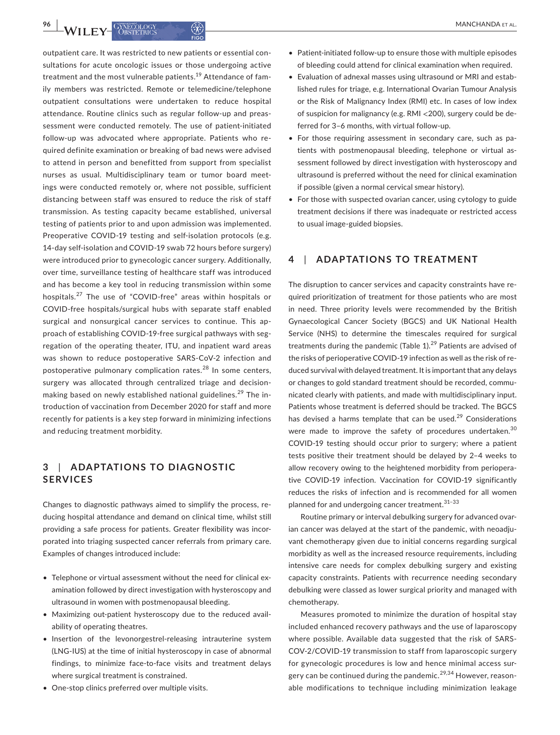outpatient care. It was restricted to new patients or essential consultations for acute oncologic issues or those undergoing active treatment and the most vulnerable patients.<sup>19</sup> Attendance of family members was restricted. Remote or telemedicine/telephone outpatient consultations were undertaken to reduce hospital attendance. Routine clinics such as regular follow-up and preassessment were conducted remotely. The use of patient-initiated follow-up was advocated where appropriate. Patients who required definite examination or breaking of bad news were advised to attend in person and benefitted from support from specialist nurses as usual. Multidisciplinary team or tumor board meetings were conducted remotely or, where not possible, sufficient distancing between staff was ensured to reduce the risk of staff transmission. As testing capacity became established, universal testing of patients prior to and upon admission was implemented. Preoperative COVID-19 testing and self-isolation protocols (e.g. 14-day self-isolation and COVID-19 swab 72 hours before surgery) were introduced prior to gynecologic cancer surgery. Additionally, over time, surveillance testing of healthcare staff was introduced and has become a key tool in reducing transmission within some hospitals.27 The use of "COVID-free" areas within hospitals or COVID-free hospitals/surgical hubs with separate staff enabled surgical and nonsurgical cancer services to continue. This approach of establishing COVID-19-free surgical pathways with segregation of the operating theater, ITU, and inpatient ward areas was shown to reduce postoperative SARS-CoV-2 infection and postoperative pulmonary complication rates.<sup>28</sup> In some centers, surgery was allocated through centralized triage and decisionmaking based on newly established national guidelines.<sup>29</sup> The introduction of vaccination from December 2020 for staff and more recently for patients is a key step forward in minimizing infections and reducing treatment morbidity.

# **3**  | **ADAPTATIONS TO DIAGNOSTIC SERVICES**

Changes to diagnostic pathways aimed to simplify the process, reducing hospital attendance and demand on clinical time, whilst still providing a safe process for patients. Greater flexibility was incorporated into triaging suspected cancer referrals from primary care. Examples of changes introduced include:

- Telephone or virtual assessment without the need for clinical examination followed by direct investigation with hysteroscopy and ultrasound in women with postmenopausal bleeding.
- Maximizing out-patient hysteroscopy due to the reduced availability of operating theatres.
- Insertion of the levonorgestrel-releasing intrauterine system (LNG-IUS) at the time of initial hysteroscopy in case of abnormal findings, to minimize face-to-face visits and treatment delays where surgical treatment is constrained.
- One-stop clinics preferred over multiple visits.
- Patient-initiated follow-up to ensure those with multiple episodes of bleeding could attend for clinical examination when required.
- Evaluation of adnexal masses using ultrasound or MRI and established rules for triage, e.g. International Ovarian Tumour Analysis or the Risk of Malignancy Index (RMI) etc. In cases of low index of suspicion for malignancy (e.g. RMI <200), surgery could be deferred for 3–6 months, with virtual follow-up.
- For those requiring assessment in secondary care, such as patients with postmenopausal bleeding, telephone or virtual assessment followed by direct investigation with hysteroscopy and ultrasound is preferred without the need for clinical examination if possible (given a normal cervical smear history).
- For those with suspected ovarian cancer, using cytology to guide treatment decisions if there was inadequate or restricted access to usual image-guided biopsies.

## **4**  | **ADAPTATIONS TO TREATMENT**

The disruption to cancer services and capacity constraints have required prioritization of treatment for those patients who are most in need. Three priority levels were recommended by the British Gynaecological Cancer Society (BGCS) and UK National Health Service (NHS) to determine the timescales required for surgical treatments during the pandemic (Table  $1$ ).<sup>29</sup> Patients are advised of the risks of perioperative COVID-19 infection as well as the risk of reduced survival with delayed treatment. It is important that any delays or changes to gold standard treatment should be recorded, communicated clearly with patients, and made with multidisciplinary input. Patients whose treatment is deferred should be tracked. The BGCS has devised a harms template that can be used. $29$  Considerations were made to improve the safety of procedures undertaken.<sup>30</sup> COVID-19 testing should occur prior to surgery; where a patient tests positive their treatment should be delayed by 2–4 weeks to allow recovery owing to the heightened morbidity from perioperative COVID-19 infection. Vaccination for COVID-19 significantly reduces the risks of infection and is recommended for all women planned for and undergoing cancer treatment.31–33

Routine primary or interval debulking surgery for advanced ovarian cancer was delayed at the start of the pandemic, with neoadjuvant chemotherapy given due to initial concerns regarding surgical morbidity as well as the increased resource requirements, including intensive care needs for complex debulking surgery and existing capacity constraints. Patients with recurrence needing secondary debulking were classed as lower surgical priority and managed with chemotherapy.

Measures promoted to minimize the duration of hospital stay included enhanced recovery pathways and the use of laparoscopy where possible. Available data suggested that the risk of SARS-COV-2/COVID-19 transmission to staff from laparoscopic surgery for gynecologic procedures is low and hence minimal access surgery can be continued during the pandemic.<sup>29,34</sup> However, reasonable modifications to technique including minimization leakage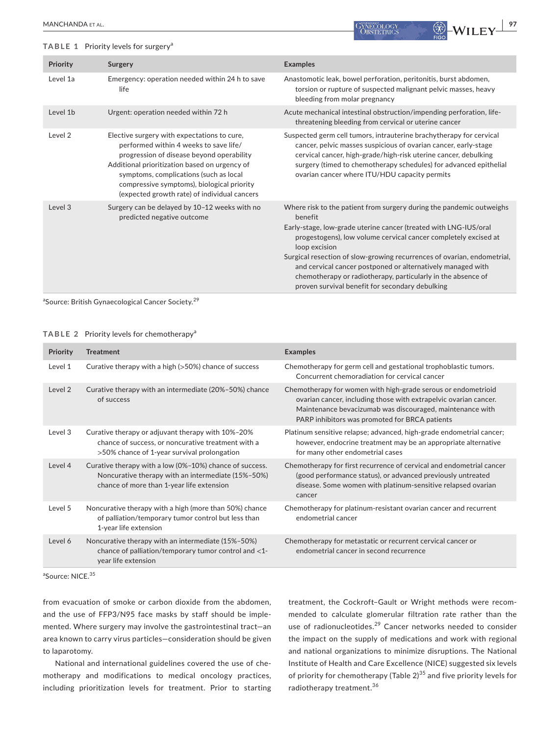#### **TABLE 1** Priority levels for surgery<sup>a</sup>

| <b>Priority</b>    | Surgery                                                                                                                                                                                                                                                                                                                     | <b>Examples</b>                                                                                                                                                                                                                                                                                                                                                                                                                                                                                      |
|--------------------|-----------------------------------------------------------------------------------------------------------------------------------------------------------------------------------------------------------------------------------------------------------------------------------------------------------------------------|------------------------------------------------------------------------------------------------------------------------------------------------------------------------------------------------------------------------------------------------------------------------------------------------------------------------------------------------------------------------------------------------------------------------------------------------------------------------------------------------------|
| Level 1a           | Emergency: operation needed within 24 h to save<br>life                                                                                                                                                                                                                                                                     | Anastomotic leak, bowel perforation, peritonitis, burst abdomen,<br>torsion or rupture of suspected malignant pelvic masses, heavy<br>bleeding from molar pregnancy                                                                                                                                                                                                                                                                                                                                  |
| Level 1b           | Urgent: operation needed within 72 h                                                                                                                                                                                                                                                                                        | Acute mechanical intestinal obstruction/impending perforation, life-<br>threatening bleeding from cervical or uterine cancer                                                                                                                                                                                                                                                                                                                                                                         |
| Level <sub>2</sub> | Elective surgery with expectations to cure,<br>performed within 4 weeks to save life/<br>progression of disease beyond operability<br>Additional prioritization based on urgency of<br>symptoms, complications (such as local<br>compressive symptoms), biological priority<br>(expected growth rate) of individual cancers | Suspected germ cell tumors, intrauterine brachytherapy for cervical<br>cancer, pelvic masses suspicious of ovarian cancer, early-stage<br>cervical cancer, high-grade/high-risk uterine cancer, debulking<br>surgery (timed to chemotherapy schedules) for advanced epithelial<br>ovarian cancer where ITU/HDU capacity permits                                                                                                                                                                      |
| Level 3            | Surgery can be delayed by 10-12 weeks with no<br>predicted negative outcome                                                                                                                                                                                                                                                 | Where risk to the patient from surgery during the pandemic outweighs<br>benefit<br>Early-stage, low-grade uterine cancer (treated with LNG-IUS/oral<br>progestogens), low volume cervical cancer completely excised at<br>loop excision<br>Surgical resection of slow-growing recurrences of ovarian, endometrial,<br>and cervical cancer postponed or alternatively managed with<br>chemotherapy or radiotherapy, particularly in the absence of<br>proven survival benefit for secondary debulking |

<sup>a</sup>Source: British Gynaecological Cancer Society.<sup>29</sup>

#### **TABLE 2** Priority levels for chemotherapy<sup>a</sup>

| <b>Priority</b> | <b>Treatment</b>                                                                                                                                           | <b>Examples</b>                                                                                                                                                                                                                                  |
|-----------------|------------------------------------------------------------------------------------------------------------------------------------------------------------|--------------------------------------------------------------------------------------------------------------------------------------------------------------------------------------------------------------------------------------------------|
| Level 1         | Curative therapy with a high $(>50%)$ chance of success                                                                                                    | Chemotherapy for germ cell and gestational trophoblastic tumors.<br>Concurrent chemoradiation for cervical cancer                                                                                                                                |
| Level 2         | Curative therapy with an intermediate (20%-50%) chance<br>of success                                                                                       | Chemotherapy for women with high-grade serous or endometrioid<br>ovarian cancer, including those with extrapelvic ovarian cancer.<br>Maintenance bevacizumab was discouraged, maintenance with<br>PARP inhibitors was promoted for BRCA patients |
| Level 3         | Curative therapy or adjuvant therapy with 10%-20%<br>chance of success, or noncurative treatment with a<br>>50% chance of 1-year survival prolongation     | Platinum sensitive relapse; advanced, high-grade endometrial cancer;<br>however, endocrine treatment may be an appropriate alternative<br>for many other endometrial cases                                                                       |
| Level 4         | Curative therapy with a low (0%-10%) chance of success.<br>Noncurative therapy with an intermediate (15%-50%)<br>chance of more than 1-year life extension | Chemotherapy for first recurrence of cervical and endometrial cancer<br>(good performance status), or advanced previously untreated<br>disease. Some women with platinum-sensitive relapsed ovarian<br>cancer                                    |
| Level 5         | Noncurative therapy with a high (more than 50%) chance<br>of palliation/temporary tumor control but less than<br>1-year life extension                     | Chemotherapy for platinum-resistant ovarian cancer and recurrent<br>endometrial cancer                                                                                                                                                           |
| Level 6         | Noncurative therapy with an intermediate (15%-50%)<br>chance of palliation/temporary tumor control and $<$ 1-<br>year life extension                       | Chemotherapy for metastatic or recurrent cervical cancer or<br>endometrial cancer in second recurrence                                                                                                                                           |
|                 |                                                                                                                                                            |                                                                                                                                                                                                                                                  |

<sup>a</sup>Source: NICE.<sup>35</sup>

from evacuation of smoke or carbon dioxide from the abdomen, and the use of FFP3/N95 face masks by staff should be implemented. Where surgery may involve the gastrointestinal tract—an area known to carry virus particles—consideration should be given to laparotomy.

National and international guidelines covered the use of chemotherapy and modifications to medical oncology practices, including prioritization levels for treatment. Prior to starting treatment, the Cockroft–Gault or Wright methods were recommended to calculate glomerular filtration rate rather than the use of radionucleotides.<sup>29</sup> Cancer networks needed to consider the impact on the supply of medications and work with regional and national organizations to minimize disruptions. The National Institute of Health and Care Excellence (NICE) suggested six levels of priority for chemotherapy (Table  $2^{35}$  and five priority levels for radiotherapy treatment.<sup>36</sup>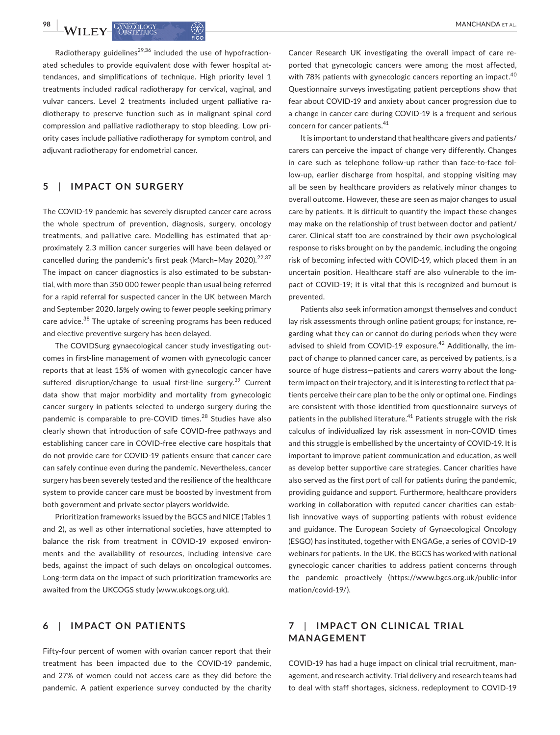Radiotherapy guidelines<sup>29,36</sup> included the use of hypofractionated schedules to provide equivalent dose with fewer hospital attendances, and simplifications of technique. High priority level 1 treatments included radical radiotherapy for cervical, vaginal, and vulvar cancers. Level 2 treatments included urgent palliative radiotherapy to preserve function such as in malignant spinal cord compression and palliative radiotherapy to stop bleeding. Low priority cases include palliative radiotherapy for symptom control, and adjuvant radiotherapy for endometrial cancer.

# **5**  | **IMPACT ON SURGERY**

The COVID-19 pandemic has severely disrupted cancer care across the whole spectrum of prevention, diagnosis, surgery, oncology treatments, and palliative care. Modelling has estimated that approximately 2.3 million cancer surgeries will have been delayed or cancelled during the pandemic's first peak (March–May 2020). $22,37$ The impact on cancer diagnostics is also estimated to be substantial, with more than 350 000 fewer people than usual being referred for a rapid referral for suspected cancer in the UK between March and September 2020, largely owing to fewer people seeking primary care advice.<sup>38</sup> The uptake of screening programs has been reduced and elective preventive surgery has been delayed.

The COVIDSurg gynaecological cancer study investigating outcomes in first-line management of women with gynecologic cancer reports that at least 15% of women with gynecologic cancer have suffered disruption/change to usual first-line surgery.<sup>39</sup> Current data show that major morbidity and mortality from gynecologic cancer surgery in patients selected to undergo surgery during the pandemic is comparable to pre-COVID times.<sup>28</sup> Studies have also clearly shown that introduction of safe COVID-free pathways and establishing cancer care in COVID-free elective care hospitals that do not provide care for COVID-19 patients ensure that cancer care can safely continue even during the pandemic. Nevertheless, cancer surgery has been severely tested and the resilience of the healthcare system to provide cancer care must be boosted by investment from both government and private sector players worldwide.

Prioritization frameworks issued by the BGCS and NICE (Tables 1 and 2), as well as other international societies, have attempted to balance the risk from treatment in COVID-19 exposed environments and the availability of resources, including intensive care beds, against the impact of such delays on oncological outcomes. Long-term data on the impact of such prioritization frameworks are awaited from the UKCOGS study ([www.ukcogs.org.uk\)](http://www.ukcogs.org.uk).

# **6**  | **IMPACT ON PATIENTS**

Fifty-four percent of women with ovarian cancer report that their treatment has been impacted due to the COVID-19 pandemic, and 27% of women could not access care as they did before the pandemic. A patient experience survey conducted by the charity

Cancer Research UK investigating the overall impact of care reported that gynecologic cancers were among the most affected, with 78% patients with gynecologic cancers reporting an impact.<sup>40</sup> Questionnaire surveys investigating patient perceptions show that fear about COVID-19 and anxiety about cancer progression due to a change in cancer care during COVID-19 is a frequent and serious concern for cancer patients.<sup>41</sup>

It is important to understand that healthcare givers and patients/ carers can perceive the impact of change very differently. Changes in care such as telephone follow-up rather than face-to-face follow-up, earlier discharge from hospital, and stopping visiting may all be seen by healthcare providers as relatively minor changes to overall outcome. However, these are seen as major changes to usual care by patients. It is difficult to quantify the impact these changes may make on the relationship of trust between doctor and patient/ carer. Clinical staff too are constrained by their own psychological response to risks brought on by the pandemic, including the ongoing risk of becoming infected with COVID-19, which placed them in an uncertain position. Healthcare staff are also vulnerable to the impact of COVID-19; it is vital that this is recognized and burnout is prevented.

Patients also seek information amongst themselves and conduct lay risk assessments through online patient groups; for instance, regarding what they can or cannot do during periods when they were advised to shield from COVID-19 exposure.<sup>42</sup> Additionally, the impact of change to planned cancer care, as perceived by patients, is a source of huge distress—patients and carers worry about the longterm impact on their trajectory, and it is interesting to reflect that patients perceive their care plan to be the only or optimal one. Findings are consistent with those identified from questionnaire surveys of patients in the published literature.<sup>41</sup> Patients struggle with the risk calculus of individualized lay risk assessment in non-COVID times and this struggle is embellished by the uncertainty of COVID-19. It is important to improve patient communication and education, as well as develop better supportive care strategies. Cancer charities have also served as the first port of call for patients during the pandemic, providing guidance and support. Furthermore, healthcare providers working in collaboration with reputed cancer charities can establish innovative ways of supporting patients with robust evidence and guidance. The European Society of Gynaecological Oncology (ESGO) has instituted, together with ENGAGe, a series of COVID-19 webinars for patients. In the UK, the BGCS has worked with national gynecologic cancer charities to address patient concerns through the pandemic proactively [\(https://www.bgcs.org.uk/public-infor](https://www.bgcs.org.uk/public-information/covid-19/) [mation/covid-19/\)](https://www.bgcs.org.uk/public-information/covid-19/).

# **7**  | **IMPACT ON CLINICAL TRIAL MANAGEMENT**

COVID-19 has had a huge impact on clinical trial recruitment, management, and research activity. Trial delivery and research teams had to deal with staff shortages, sickness, redeployment to COVID-19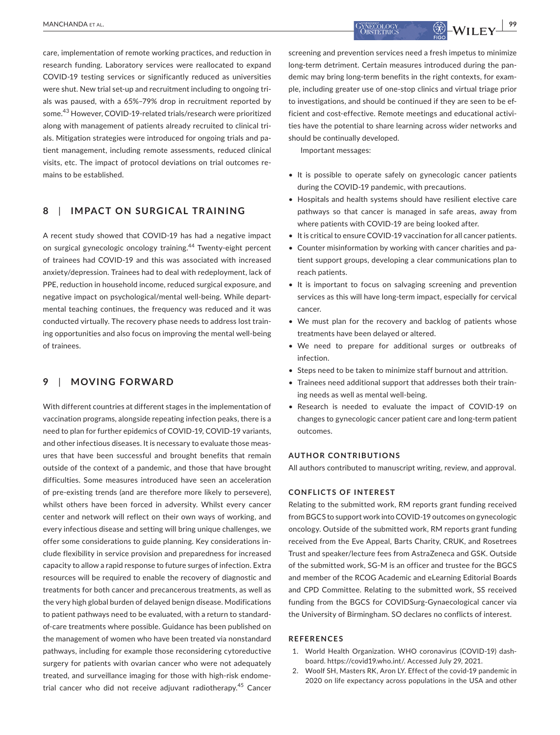care, implementation of remote working practices, and reduction in research funding. Laboratory services were reallocated to expand COVID-19 testing services or significantly reduced as universities were shut. New trial set-up and recruitment including to ongoing trials was paused, with a 65%–79% drop in recruitment reported by some.<sup>43</sup> However, COVID-19-related trials/research were prioritized

along with management of patients already recruited to clinical trials. Mitigation strategies were introduced for ongoing trials and patient management, including remote assessments, reduced clinical visits, etc. The impact of protocol deviations on trial outcomes remains to be established.

## **8**  | **IMPACT ON SURGICAL TRAINING**

A recent study showed that COVID-19 has had a negative impact on surgical gynecologic oncology training.<sup>44</sup> Twenty-eight percent of trainees had COVID-19 and this was associated with increased anxiety/depression. Trainees had to deal with redeployment, lack of PPE, reduction in household income, reduced surgical exposure, and negative impact on psychological/mental well-being. While departmental teaching continues, the frequency was reduced and it was conducted virtually. The recovery phase needs to address lost training opportunities and also focus on improving the mental well-being of trainees.

# **9**  | **MOVING FORWARD**

With different countries at different stages in the implementation of vaccination programs, alongside repeating infection peaks, there is a need to plan for further epidemics of COVID-19, COVID-19 variants, and other infectious diseases. It is necessary to evaluate those measures that have been successful and brought benefits that remain outside of the context of a pandemic, and those that have brought difficulties. Some measures introduced have seen an acceleration of pre-existing trends (and are therefore more likely to persevere), whilst others have been forced in adversity. Whilst every cancer center and network will reflect on their own ways of working, and every infectious disease and setting will bring unique challenges, we offer some considerations to guide planning. Key considerations include flexibility in service provision and preparedness for increased capacity to allow a rapid response to future surges of infection. Extra resources will be required to enable the recovery of diagnostic and treatments for both cancer and precancerous treatments, as well as the very high global burden of delayed benign disease. Modifications to patient pathways need to be evaluated, with a return to standardof-care treatments where possible. Guidance has been published on the management of women who have been treated via nonstandard pathways, including for example those reconsidering cytoreductive surgery for patients with ovarian cancer who were not adequately treated, and surveillance imaging for those with high-risk endometrial cancer who did not receive adjuvant radiotherapy.<sup>45</sup> Cancer

screening and prevention services need a fresh impetus to minimize long-term detriment. Certain measures introduced during the pandemic may bring long-term benefits in the right contexts, for example, including greater use of one-stop clinics and virtual triage prior to investigations, and should be continued if they are seen to be efficient and cost-effective. Remote meetings and educational activities have the potential to share learning across wider networks and should be continually developed.

Important messages:

- It is possible to operate safely on gynecologic cancer patients during the COVID-19 pandemic, with precautions.
- Hospitals and health systems should have resilient elective care pathways so that cancer is managed in safe areas, away from where patients with COVID-19 are being looked after.
- It is critical to ensure COVID-19 vaccination for all cancer patients.
- Counter misinformation by working with cancer charities and patient support groups, developing a clear communications plan to reach patients.
- It is important to focus on salvaging screening and prevention services as this will have long-term impact, especially for cervical cancer.
- We must plan for the recovery and backlog of patients whose treatments have been delayed or altered.
- We need to prepare for additional surges or outbreaks of infection.
- Steps need to be taken to minimize staff burnout and attrition.
- Trainees need additional support that addresses both their training needs as well as mental well-being.
- Research is needed to evaluate the impact of COVID-19 on changes to gynecologic cancer patient care and long-term patient outcomes.

#### **AUTHOR CONTRIBUTIONS**

All authors contributed to manuscript writing, review, and approval.

#### **CONFLICTS OF INTEREST**

Relating to the submitted work, RM reports grant funding received from BGCS to support work into COVID-19 outcomes on gynecologic oncology. Outside of the submitted work, RM reports grant funding received from the Eve Appeal, Barts Charity, CRUK, and Rosetrees Trust and speaker/lecture fees from AstraZeneca and GSK. Outside of the submitted work, SG-M is an officer and trustee for the BGCS and member of the RCOG Academic and eLearning Editorial Boards and CPD Committee. Relating to the submitted work, SS received funding from the BGCS for COVIDSurg-Gynaecological cancer via the University of Birmingham. SO declares no conflicts of interest.

#### **REFERENCES**

- 1. World Health Organization. WHO coronavirus (COVID-19) dashboard. [https://covid19.who.int/.](https://covid19.who.int/) Accessed July 29, 2021.
- 2. Woolf SH, Masters RK, Aron LY. Effect of the covid-19 pandemic in 2020 on life expectancy across populations in the USA and other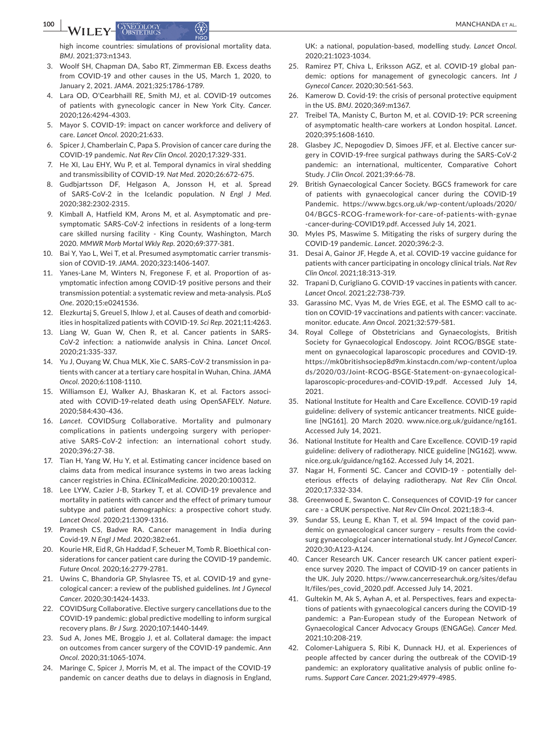high income countries: simulations of provisional mortality data. *BMJ*. 2021;373:n1343.

- 3. Woolf SH, Chapman DA, Sabo RT, Zimmerman EB. Excess deaths from COVID-19 and other causes in the US, March 1, 2020, to January 2, 2021. *JAMA*. 2021;325:1786-1789.
- 4. Lara OD, O'Cearbhaill RE, Smith MJ, et al. COVID-19 outcomes of patients with gynecologic cancer in New York City. *Cancer*. 2020;126:4294-4303.
- 5. Mayor S. COVID-19: impact on cancer workforce and delivery of care. *Lancet Oncol*. 2020;21:633.
- 6. Spicer J, Chamberlain C, Papa S. Provision of cancer care during the COVID-19 pandemic. *Nat Rev Clin Oncol*. 2020;17:329-331.
- 7. He XI, Lau EHY, Wu P, et al. Temporal dynamics in viral shedding and transmissibility of COVID-19. *Nat Med*. 2020;26:672-675.
- 8. Gudbjartsson DF, Helgason A, Jonsson H, et al. Spread of SARS-CoV-2 in the Icelandic population. *N Engl J Med*. 2020;382:2302-2315.
- 9. Kimball A, Hatfield KM, Arons M, et al. Asymptomatic and presymptomatic SARS-CoV-2 infections in residents of a long-term care skilled nursing facility - King County, Washington, March 2020. *MMWR Morb Mortal Wkly Rep*. 2020;69:377-381.
- 10. Bai Y, Yao L, Wei T, et al. Presumed asymptomatic carrier transmission of COVID-19. *JAMA*. 2020;323:1406-1407.
- 11. Yanes-Lane M, Winters N, Fregonese F, et al. Proportion of asymptomatic infection among COVID-19 positive persons and their transmission potential: a systematic review and meta-analysis. *PLoS One*. 2020;15:e0241536.
- 12. Elezkurtaj S, Greuel S, Ihlow J, et al. Causes of death and comorbidities in hospitalized patients with COVID-19. *Sci Rep*. 2021;11:4263.
- 13. Liang W, Guan W, Chen R, et al. Cancer patients in SARS-CoV-2 infection: a nationwide analysis in China. *Lancet Oncol*. 2020;21:335-337.
- 14. Yu J, Ouyang W, Chua MLK, Xie C. SARS-CoV-2 transmission in patients with cancer at a tertiary care hospital in Wuhan, China. *JAMA Oncol*. 2020;6:1108-1110.
- 15. Williamson EJ, Walker AJ, Bhaskaran K, et al. Factors associated with COVID-19-related death using OpenSAFELY. *Nature*. 2020;584:430-436.
- 16. *Lancet*. COVIDSurg Collaborative. Mortality and pulmonary complications in patients undergoing surgery with perioperative SARS-CoV-2 infection: an international cohort study. 2020;396:27-38.
- 17. Tian H, Yang W, Hu Y, et al. Estimating cancer incidence based on claims data from medical insurance systems in two areas lacking cancer registries in China. *EClinicalMedicine*. 2020;20:100312.
- 18. Lee LYW, Cazier J-B, Starkey T, et al. COVID-19 prevalence and mortality in patients with cancer and the effect of primary tumour subtype and patient demographics: a prospective cohort study. *Lancet Oncol*. 2020;21:1309-1316.
- 19. Pramesh CS, Badwe RA. Cancer management in India during Covid-19. *N Engl J Med*. 2020;382:e61.
- 20. Kourie HR, Eid R, Gh Haddad F, Scheuer M, Tomb R. Bioethical considerations for cancer patient care during the COVID-19 pandemic. *Future Oncol*. 2020;16:2779-2781.
- 21. Uwins C, Bhandoria GP, Shylasree TS, et al. COVID-19 and gynecological cancer: a review of the published guidelines. *Int J Gynecol Cancer*. 2020;30:1424-1433.
- 22. COVIDSurg Collaborative. Elective surgery cancellations due to the COVID-19 pandemic: global predictive modelling to inform surgical recovery plans. *Br J Surg*. 2020;107:1440-1449.
- 23. Sud A, Jones ME, Broggio J, et al. Collateral damage: the impact on outcomes from cancer surgery of the COVID-19 pandemic. *Ann Oncol*. 2020;31:1065-1074.
- 24. Maringe C, Spicer J, Morris M, et al. The impact of the COVID-19 pandemic on cancer deaths due to delays in diagnosis in England,

UK: a national, population-based, modelling study. *Lancet Oncol*. 2020;21:1023-1034.

- 25. Ramirez PT, Chiva L, Eriksson AGZ, et al. COVID-19 global pandemic: options for management of gynecologic cancers. *Int J Gynecol Cancer*. 2020;30:561-563.
- 26. Kamerow D. Covid-19: the crisis of personal protective equipment in the US. *BMJ*. 2020;369:m1367.
- 27. Treibel TA, Manisty C, Burton M, et al. COVID-19: PCR screening of asymptomatic health-care workers at London hospital. *Lancet*. 2020;395:1608-1610.
- 28. Glasbey JC, Nepogodiev D, Simoes JFF, et al. Elective cancer surgery in COVID-19-free surgical pathways during the SARS-CoV-2 pandemic: an international, multicenter, Comparative Cohort Study. *J Clin Oncol*. 2021;39:66-78.
- 29. British Gynaecological Cancer Society. BGCS framework for care of patients with gynaecological cancer during the COVID-19 Pandemic. [https://www.bgcs.org.uk/wp-content/uploads/2020/](https://www.bgcs.org.uk/wp-content/uploads/2020/04/BGCS-RCOG-framework-for-care-of-patients-with-gynae-cancer-during-COVID19.pdf) [04/BGCS-RCOG-framework-for-care-of-patients-with-gynae](https://www.bgcs.org.uk/wp-content/uploads/2020/04/BGCS-RCOG-framework-for-care-of-patients-with-gynae-cancer-during-COVID19.pdf) [-cancer-during-COVID19.pdf](https://www.bgcs.org.uk/wp-content/uploads/2020/04/BGCS-RCOG-framework-for-care-of-patients-with-gynae-cancer-during-COVID19.pdf). Accessed July 14, 2021.
- 30. Myles PS, Maswime S. Mitigating the risks of surgery during the COVID-19 pandemic. *Lancet*. 2020;396:2-3.
- 31. Desai A, Gainor JF, Hegde A, et al. COVID-19 vaccine guidance for patients with cancer participating in oncology clinical trials. *Nat Rev Clin Oncol*. 2021;18:313-319.
- 32. Trapani D, Curigliano G. COVID-19 vaccines in patients with cancer. *Lancet Oncol*. 2021;22:738-739.
- 33. Garassino MC, Vyas M, de Vries EGE, et al. The ESMO call to action on COVID-19 vaccinations and patients with cancer: vaccinate. monitor. educate. *Ann Oncol*. 2021;32:579-581.
- 34. Royal College of Obstetricians and Gynaecologists, British Society for Gynaecological Endoscopy. Joint RCOG/BSGE statement on gynaecological laparoscopic procedures and COVID-19. [https://mk0britishsociep8d9m.kinstacdn.com/wp-content/uploa](https://mk0britishsociep8d9m.kinstacdn.com/wp-content/uploads/2020/03/Joint-RCOG-BSGE-Statement-on-gynaecological-laparoscopic-procedures-and-COVID-19.pdf) [ds/2020/03/Joint-RCOG-BSGE-Statement-on-gynaecological](https://mk0britishsociep8d9m.kinstacdn.com/wp-content/uploads/2020/03/Joint-RCOG-BSGE-Statement-on-gynaecological-laparoscopic-procedures-and-COVID-19.pdf)[laparoscopic-procedures-and-COVID-19.pdf.](https://mk0britishsociep8d9m.kinstacdn.com/wp-content/uploads/2020/03/Joint-RCOG-BSGE-Statement-on-gynaecological-laparoscopic-procedures-and-COVID-19.pdf) Accessed July 14, 2021.
- 35. National Institute for Health and Care Excellence. COVID-19 rapid guideline: delivery of systemic anticancer treatments. NICE guideline [NG161]. 20 March 2020. [www.nice.org.uk/guidance/ng161.](http://www.nice.org.uk/guidance/ng161) Accessed July 14, 2021.
- 36. National Institute for Health and Care Excellence. COVID-19 rapid guideline: delivery of radiotherapy. NICE guideline [NG162]. [www.](http://www.nice.org.uk/guidance/ng162) [nice.org.uk/guidance/ng162](http://www.nice.org.uk/guidance/ng162). Accessed July 14, 2021.
- 37. Nagar H, Formenti SC. Cancer and COVID-19 potentially deleterious effects of delaying radiotherapy. *Nat Rev Clin Oncol*. 2020;17:332-334.
- 38. Greenwood E, Swanton C. Consequences of COVID-19 for cancer care - a CRUK perspective. *Nat Rev Clin Oncol*. 2021;18:3-4.
- 39. Sundar SS, Leung E, Khan T, et al. 594 Impact of the covid pandemic on gynaecological cancer surgery – results from the covidsurg gynaecological cancer international study. *Int J Gynecol Cancer*. 2020;30:A123-A124.
- 40. Cancer Research UK. Cancer research UK cancer patient experience survey 2020. The impact of COVID-19 on cancer patients in the UK. July 2020. [https://www.cancerresearchuk.org/sites/defau](https://www.cancerresearchuk.org/sites/default/files/pes_covid_2020.pdf) [lt/files/pes\\_covid\\_2020.pdf](https://www.cancerresearchuk.org/sites/default/files/pes_covid_2020.pdf). Accessed July 14, 2021.
- 41. Gultekin M, Ak S, Ayhan A, et al. Perspectives, fears and expectations of patients with gynaecological cancers during the COVID-19 pandemic: a Pan-European study of the European Network of Gynaecological Cancer Advocacy Groups (ENGAGe). *Cancer Med*. 2021;10:208-219.
- 42. Colomer-Lahiguera S, Ribi K, Dunnack HJ, et al. Experiences of people affected by cancer during the outbreak of the COVID-19 pandemic: an exploratory qualitative analysis of public online forums. *Support Care Cancer*. 2021;29:4979-4985.